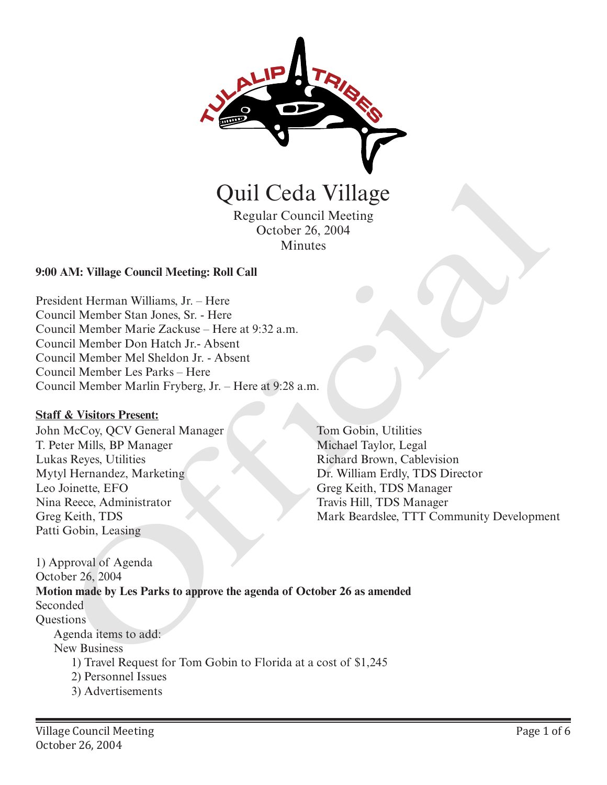

Regular Council Meeting October 26, 2004 Minutes

### **9:00 AM: Village Council Meeting: Roll Call**

President Herman Williams, Jr. – Here Council Member Stan Jones, Sr. - Here Council Member Marie Zackuse – Here at 9:32 a.m. Council Member Don Hatch Jr.- Absent Council Member Mel Sheldon Jr. - Absent Council Member Les Parks – Here Council Member Marlin Fryberg, Jr. – Here at 9:28 a.m.

#### **Staff & Visitors Present:**

John McCoy, QCV General Manager T. Peter Mills, BP Manager Lukas Reyes, Utilities Mytyl Hernandez, Marketing Leo Joinette, EFO Nina Reece, Administrator Greg Keith, TDS Patti Gobin, Leasing

Tom Gobin, Utilities Michael Taylor, Legal Richard Brown, Cablevision Dr. William Erdly, TDS Director Greg Keith, TDS Manager Travis Hill, TDS Manager Mark Beardslee, TTT Community Development

1) Approval of Agenda October 26, 2004 **Motion made by Les Parks to approve the agenda of October 26 as amended**  Seconded **Questions** Agenda items to add: New Business 1) Travel Request for Tom Gobin to Florida at a cost of \$1,245 2) Personnel Issues 3) Advertisements Quil Ceda Village<br>
Regular Council Meeting<br>
Cetober 26, 2004<br>
Minutes<br>
AM: Village Council Meeting: Roll Call<br>
dent Herman Williams, Jr. – Here<br>
incil Member Nain Stackbause - Here<br>
incil Member Nain Stackbause - Here<br>
aci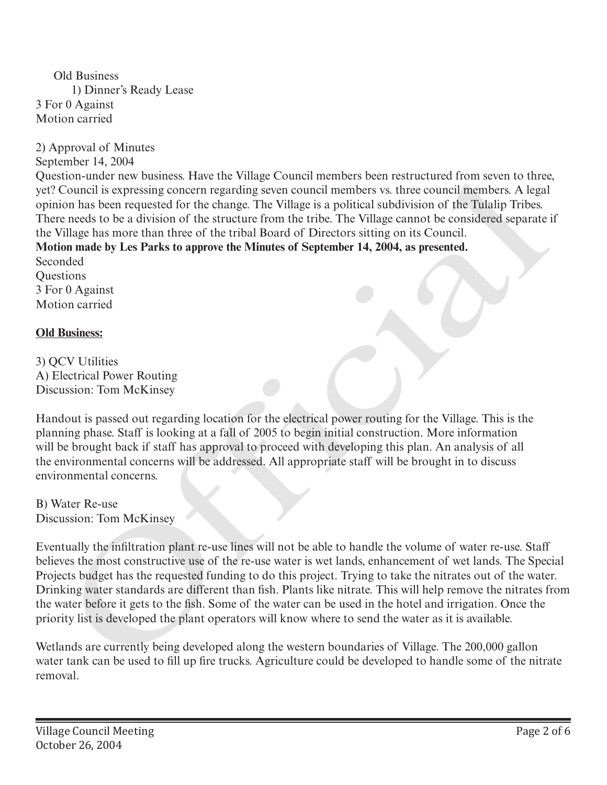Old Business 1) Dinner's Ready Lease 3 For 0 Against Motion carried

2) Approval of Minutes

September 14, 2004

Question-under new business. Have the Village Council members been restructured from seven to three, yet? Council is expressing concern regarding seven council members vs. three council members. A legal opinion has been requested for the change. The Village is a political subdivision of the Tulalip Tribes. There needs to be a division of the structure from the tribe. The Village cannot be considered separate if the Village has more than three of the tribal Board of Directors sitting on its Council.

**Motion made by Les Parks to approve the Minutes of September 14, 2004, as presented.**

Seconded Questions 3 For 0 Against Motion carried

# **Old Business:**

3) QCV Utilities A) Electrical Power Routing Discussion: Tom McKinsey

Handout is passed out regarding location for the electrical power routing for the Village. This is the planning phase. Staff is looking at a fall of 2005 to begin initial construction. More information will be brought back if staff has approval to proceed with developing this plan. An analysis of all the environmental concerns will be addressed. All appropriate staff will be brought in to discuss environmental concerns.

B) Water Re-use Discussion: Tom McKinsey

Eventually the infiltration plant re-use lines will not be able to handle the volume of water re-use. Staff believes the most constructive use of the re-use water is wet lands, enhancement of wet lands. The Special Projects budget has the requested funding to do this project. Trying to take the nitrates out of the water. Drinking water standards are different than fish. Plants like nitrate. This will help remove the nitrates from the water before it gets to the fish. Some of the water can be used in the hotel and irrigation. Once the priority list is developed the plant operators will know where to send the water as it is available. dion-those new bisiness. Have the village Colubal membris hear hestmattured from seven to three new bisiness. Have the council is expressing concern regarding seven council membris w. three council membris A legal<br>on ion h

Wetlands are currently being developed along the western boundaries of Village. The 200,000 gallon water tank can be used to fill up fire trucks. Agriculture could be developed to handle some of the nitrate removal.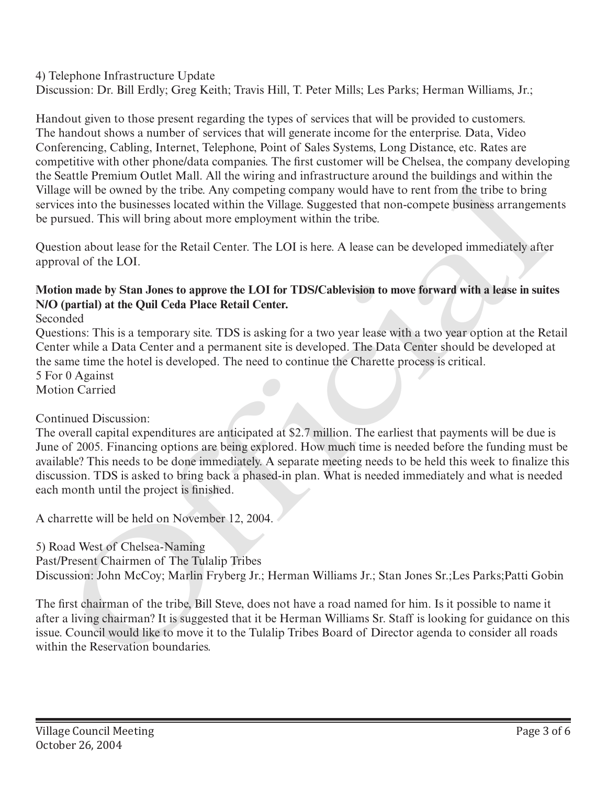4) Telephone Infrastructure Update

Discussion: Dr. Bill Erdly; Greg Keith; Travis Hill, T. Peter Mills; Les Parks; Herman Williams, Jr.;

Handout given to those present regarding the types of services that will be provided to customers. The handout shows a number of services that will generate income for the enterprise. Data, Video Conferencing, Cabling, Internet, Telephone, Point of Sales Systems, Long Distance, etc. Rates are competitive with other phone/data companies. The first customer will be Chelsea, the company developing the Seattle Premium Outlet Mall. All the wiring and infrastructure around the buildings and within the Village will be owned by the tribe. Any competing company would have to rent from the tribe to bring services into the businesses located within the Village. Suggested that non-compete business arrangements be pursued. This will bring about more employment within the tribe.

Question about lease for the Retail Center. The LOI is here. A lease can be developed immediately after approval of the LOI.

# **Motion made by Stan Jones to approve the LOI for TDS/Cablevision to move forward with a lease in suites N/O (partial) at the Quil Ceda Place Retail Center.**

Seconded

Questions: This is a temporary site. TDS is asking for a two year lease with a two year option at the Retail Center while a Data Center and a permanent site is developed. The Data Center should be developed at the same time the hotel is developed. The need to continue the Charette process is critical.

5 For 0 Against Motion Carried

# Continued Discussion:

The overall capital expenditures are anticipated at \$2.7 million. The earliest that payments will be due is June of 2005. Financing options are being explored. How much time is needed before the funding must be available? This needs to be done immediately. A separate meeting needs to be held this week to finalize this discussion. TDS is asked to bring back a phased-in plan. What is needed immediately and what is needed each month until the project is finished. the Search Permium Outer Mati. Alt the wiring and antrastructure around the enultimps and within the preservation for Sivilage will be owned by the tribe. Any competing company would have to rent from the tribe to bring su

A charrette will be held on November 12, 2004.

5) Road West of Chelsea-Naming

Past/Present Chairmen of The Tulalip Tribes

Discussion: John McCoy; Marlin Fryberg Jr.; Herman Williams Jr.; Stan Jones Sr.;Les Parks;Patti Gobin

The first chairman of the tribe, Bill Steve, does not have a road named for him. Is it possible to name it after a living chairman? It is suggested that it be Herman Williams Sr. Staff is looking for guidance on this issue. Council would like to move it to the Tulalip Tribes Board of Director agenda to consider all roads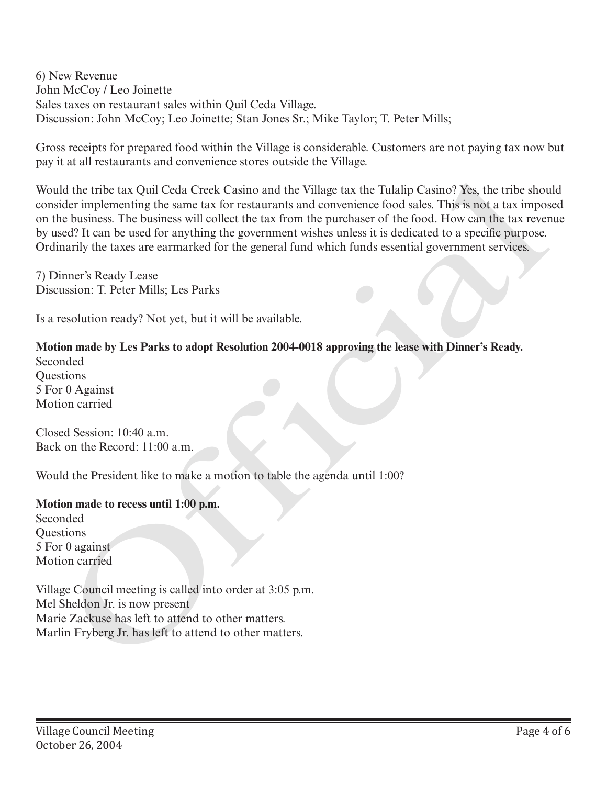6) New Revenue John McCoy / Leo Joinette Sales taxes on restaurant sales within Quil Ceda Village. Discussion: John McCoy; Leo Joinette; Stan Jones Sr.; Mike Taylor; T. Peter Mills;

Gross receipts for prepared food within the Village is considerable. Customers are not paying tax now but pay it at all restaurants and convenience stores outside the Village.

Would the tribe tax Quil Ceda Creek Casino and the Village tax the Tulalip Casino? Yes, the tribe should consider implementing the same tax for restaurants and convenience food sales. This is not a tax imposed on the business. The business will collect the tax from the purchaser of the food. How can the tax revenue by used? It can be used for anything the government wishes unless it is dedicated to a specific purpose. Ordinarily the taxes are earmarked for the general fund which funds essential government services. Would the tribe tax Quil Ceda Creek Casino and the Village tax the Tulalip Casino? Yes, the tribe shoreonsider implementing the same tax for rentarants and convenience food sales. This is not a train more to include to the

7) Dinner's Ready Lease Discussion: T. Peter Mills; Les Parks

Is a resolution ready? Not yet, but it will be available.

### **Motion made by Les Parks to adopt Resolution 2004-0018 approving the lease with Dinner's Ready.**

Seconded Questions 5 For 0 Against Motion carried

Closed Session: 10:40 a.m. Back on the Record: 11:00 a.m.

Would the President like to make a motion to table the agenda until 1:00?

#### **Motion made to recess until 1:00 p.m.**

Seconded **Ouestions** 5 For 0 against Motion carried

Village Council meeting is called into order at 3:05 p.m. Mel Sheldon Jr. is now present Marie Zackuse has left to attend to other matters.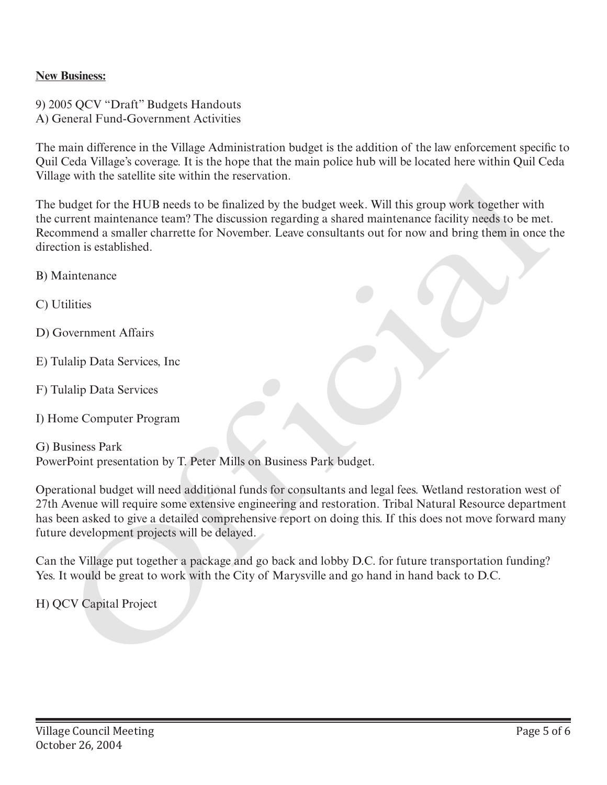## **New Business:**

9) 2005 QCV "Draft" Budgets Handouts A) General Fund-Government Activities

The main difference in the Village Administration budget is the addition of the law enforcement specific to Quil Ceda Village's coverage. It is the hope that the main police hub will be located here within Quil Ceda Village with the satellite site within the reservation.

The budget for the HUB needs to be finalized by the budget week. Will this group work together with the current maintenance team? The discussion regarding a shared maintenance facility needs to be met. Recommend a smaller charrette for November. Leave consultants out for now and bring them in once the direction is established. Vinage with the statemet stre within the reservation.<br>The budget week. Will this group work together with<br>the current maintenance team? The discussion regarding a shared maintenance facility needs to be met<br>decommend a sma

B) Maintenance

C) Utilities

D) Government Affairs

E) Tulalip Data Services, Inc

- F) Tulalip Data Services
- I) Home Computer Program

G) Business Park PowerPoint presentation by T. Peter Mills on Business Park budget.

Operational budget will need additional funds for consultants and legal fees. Wetland restoration west of 27th Avenue will require some extensive engineering and restoration. Tribal Natural Resource department has been asked to give a detailed comprehensive report on doing this. If this does not move forward many future development projects will be delayed.

Can the Village put together a package and go back and lobby D.C. for future transportation funding? Yes. It would be great to work with the City of Marysville and go hand in hand back to D.C.